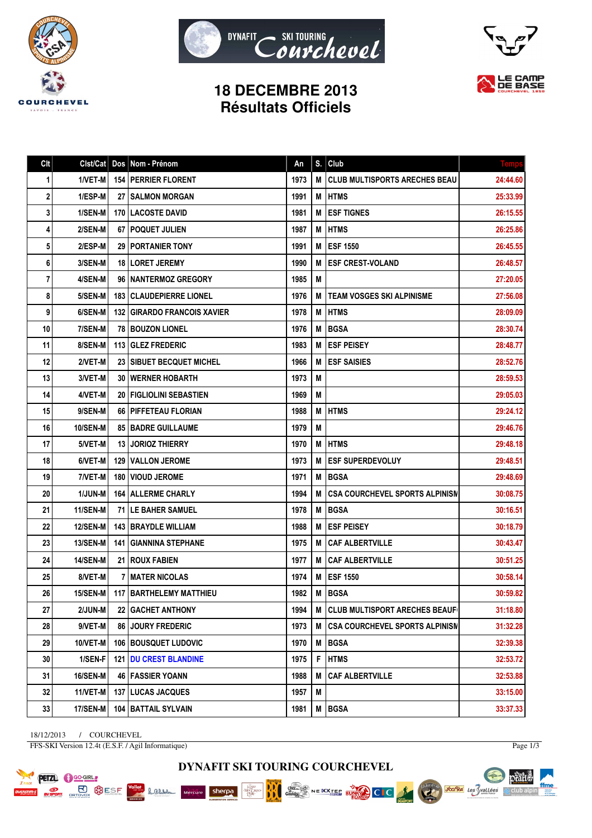





## **18 DECEMBRE 2013 Résultats Officiels**

| Clt | Clst/Cat        |     | Dos Nom - Prénom                   | An   | S. | Club                                  | <b>Temps</b> |
|-----|-----------------|-----|------------------------------------|------|----|---------------------------------------|--------------|
| 1   | 1/VET-M         |     | <b>154   PERRIER FLORENT</b>       | 1973 | M  | <b>CLUB MULTISPORTS ARECHES BEAU</b>  | 24:44.60     |
| 2   | 1/ESP-M         |     | 27   SALMON MORGAN                 | 1991 | M  | <b>HTMS</b>                           | 25:33.99     |
| 3   | 1/SEN-M         |     | <b>170   LACOSTE DAVID</b>         | 1981 | M  | <b>ESF TIGNES</b>                     | 26:15.55     |
| 4   | 2/SEN-M         |     | 67   POQUET JULIEN                 | 1987 | M  | <b>HTMS</b>                           | 26:25.86     |
| 5   | 2/ESP-M         |     | <b>29 I PORTANIER TONY</b>         | 1991 | M  | <b>ESF 1550</b>                       | 26:45.55     |
| 6   | <b>3/SEN-M</b>  |     | <b>18 ILORET JEREMY</b>            | 1990 | M  | <b>ESF CREST-VOLAND</b>               | 26:48.57     |
| 7   | 4/SEN-M         |     | 96   NANTERMOZ GREGORY             | 1985 | M  |                                       | 27:20.05     |
| 8   | 5/SEN-M         |     | <b>183   CLAUDEPIERRE LIONEL</b>   | 1976 | M  | <b>TEAM VOSGES SKI ALPINISME</b>      | 27:56.08     |
| 9   | 6/SEN-M         |     | <b>132 GIRARDO FRANCOIS XAVIER</b> | 1978 | M  | <b>HTMS</b>                           | 28:09.09     |
| 10  | 7/SEN-M         |     | <b>78   BOUZON LIONEL</b>          | 1976 | M  | <b>BGSA</b>                           | 28:30.74     |
| 11  | 8/SEN-M         |     | 113 GLEZ FREDERIC                  | 1983 | M  | <b>ESF PEISEY</b>                     | 28:48.77     |
| 12  | 2/VET-M         |     | 23   SIBUET BECQUET MICHEL         | 1966 | M  | <b>ESF SAISIES</b>                    | 28:52.76     |
| 13  | 3/VET-M         |     | <b>30   WERNER HOBARTH</b>         | 1973 | M  |                                       | 28:59.53     |
| 14  | 4/VET-M         |     | 20   FIGLIOLINI SEBASTIEN          | 1969 | M  |                                       | 29:05.03     |
| 15  | 9/SEN-M         |     | <b>66   PIFFETEAU FLORIAN</b>      | 1988 | M  | <b>HTMS</b>                           | 29:24.12     |
| 16  | <b>10/SEN-M</b> |     | <b>85   BADRE GUILLAUME</b>        | 1979 | M  |                                       | 29:46.76     |
| 17  | 5/VET-M         |     | <b>13 JORIOZ THIERRY</b>           | 1970 | M  | <b>IHTMS</b>                          | 29:48.18     |
| 18  | 6/VET-M         |     | <b>129   VALLON JEROME</b>         | 1973 | M  | <b>ESF SUPERDEVOLUY</b>               | 29:48.51     |
| 19  | 7/VET-M         |     | <b>180   VIOUD JEROME</b>          | 1971 | M  | <b>BGSA</b>                           | 29:48.69     |
| 20  | 1/JUN-M         |     | <b>164   ALLERME CHARLY</b>        | 1994 | M  | <b>CSA COURCHEVEL SPORTS ALPINISM</b> | 30:08.75     |
| 21  | <b>11/SEN-M</b> |     | <b>71   LE BAHER SAMUEL</b>        | 1978 | M  | <b>BGSA</b>                           | 30:16.51     |
| 22  | <b>12/SEN-M</b> |     | <b>143 IBRAYDLE WILLIAM</b>        | 1988 | M  | <b>ESF PEISEY</b>                     | 30:18.79     |
| 23  | <b>13/SEN-M</b> | 141 | <b>GIANNINA STEPHANE</b>           | 1975 | M  | <b>CAF ALBERTVILLE</b>                | 30:43.47     |
| 24  | 14/SEN-M        |     | 21   ROUX FABIEN                   | 1977 | M  | <b>CAF ALBERTVILLE</b>                | 30:51.25     |
| 25  | 8/VET-M         |     | <b>7   MATER NICOLAS</b>           | 1974 | M  | <b>ESF 1550</b>                       | 30:58.14     |
| 26  | 15/SEN-M        |     | 117 BARTHELEMY MATTHIEU            | 1982 | M  | <b>BGSA</b>                           | 30:59.82     |
| 27  | 2/JUN-M         |     | 22   GACHET ANTHONY                | 1994 | M  | CLUB MULTISPORT ARECHES BEAUF         | 31:18.80     |
| 28  | 9/VET-M         |     | 86 JOURY FREDERIC                  | 1973 | M  | <b>CSA COURCHEVEL SPORTS ALPINISN</b> | 31:32.28     |
| 29  | 10/VET-M        |     | 106   BOUSQUET LUDOVIC             | 1970 | M  | <b>BGSA</b>                           | 32:39.38     |
| 30  | 1/SEN-F         |     | <b>121   DU CREST BLANDINE</b>     | 1975 | F  | <b>HTMS</b>                           | 32:53.72     |
| 31  | 16/SEN-M        |     | <b>46   FASSIER YOANN</b>          | 1988 | M  | <b>CAF ALBERTVILLE</b>                | 32:53.88     |
| 32  | 11/VET-M        |     | <b>137   LUCAS JACQUES</b>         | 1957 | M  |                                       | 33:15.00     |
| 33  | 17/SEN-M        |     | <b>104 BATTAIL SYLVAIN</b>         | 1981 | M  | <b>BGSA</b>                           | 33:37.33     |

18/12/2013 / COURCHEVEL FFS-SKI Version 12.4t (E.S.F. / Agil Informatique)

**Lame** 

**PETZL C** GO-GIRL **PLACE BOOK**<br>**REAL BROWN**  Page  $1/3$ 

pêart.

 $\mathbb{A}$  club alpin

ffme

Voules des Svallées

**DYNAFIT SKI TOURING COURCHEVEL**

Chez.<br>Gaulot

NE XXTER FUND CIC

RK

**MAG** 

sherpa

Mercure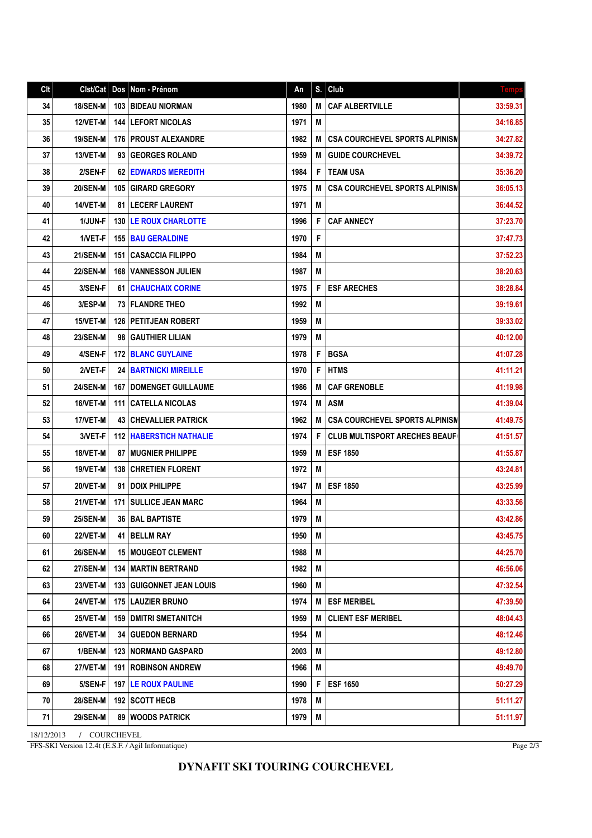## **DYNAFIT SKI TOURING COURCHEVEL**

18/12/2013 / COURCHEVEL FFS-SKI Version 12.4t (E.S.F. / Agil Informatique)

| Clt |                  |     | Cist/Cat   Dos   Nom - Prénom    | An   | S. | Club                                  | <b>Temps</b> |
|-----|------------------|-----|----------------------------------|------|----|---------------------------------------|--------------|
| 34  | <b>18/SEN-MI</b> |     | <b>103 BIDEAU NIORMAN</b>        | 1980 | M  | <b>CAF ALBERTVILLE</b>                | 33:59.31     |
| 35  | <b>12/VET-M</b>  |     | <b>144 LEFORT NICOLAS</b>        | 1971 | M  |                                       | 34:16.85     |
| 36  | <b>19/SEN-M</b>  |     | <b>176 I PROUST ALEXANDRE</b>    | 1982 | M  | <b>CSA COURCHEVEL SPORTS ALPINISM</b> | 34:27.82     |
| 37  | 13/VET-M         |     | 93 GEORGES ROLAND                | 1959 | M  | <b>GUIDE COURCHEVEL</b>               | 34:39.72     |
| 38  | 2/SEN-F          |     | <b>62 EDWARDS MEREDITH</b>       | 1984 | F  | <b>TEAM USA</b>                       | 35:36.20     |
| 39  | <b>20/SEN-M</b>  |     | 105 GIRARD GREGORY               | 1975 | M  | <b>CSA COURCHEVEL SPORTS ALPINISN</b> | 36:05.13     |
| 40  | 14/VET-M         |     | <b>81   LECERF LAURENT</b>       | 1971 | M  |                                       | 36:44.52     |
| 41  | 1/JUN-F          |     | <b>130 ILE ROUX CHARLOTTE</b>    | 1996 | F  | <b>CAF ANNECY</b>                     | 37:23.70     |
| 42  | 1/VET-F          |     | <b>155 BAU GERALDINE</b>         | 1970 | F  |                                       | 37:47.73     |
| 43  | 21/SEN-M         | 151 | <b>I CASACCIA FILIPPO</b>        | 1984 | M  |                                       | 37:52.23     |
| 44  | <b>22/SEN-M</b>  |     | <b>168 I VANNESSON JULIEN</b>    | 1987 | M  |                                       | 38:20.63     |
| 45  | 3/SEN-F          |     | <b>61   CHAUCHAIX CORINE</b>     | 1975 | F  | <b>ESF ARECHES</b>                    | 38:28.84     |
| 46  | 3/ESP-M          |     | <b>73   FLANDRE THEO</b>         | 1992 | M  |                                       | 39:19.61     |
| 47  | 15/VET-M         |     | <b>126   PETITJEAN ROBERT</b>    | 1959 | M  |                                       | 39:33.02     |
| 48  | <b>23/SEN-M</b>  |     | <b>98   GAUTHIER LILIAN</b>      | 1979 | M  |                                       | 40:12.00     |
| 49  | 4/SEN-F          |     | <b>172 BLANC GUYLAINE</b>        | 1978 | F  | <b>BGSA</b>                           | 41:07.28     |
| 50  | 2/VET-F          |     | <b>24 BARTNICKI MIREILLE</b>     | 1970 | F  | <b>HTMS</b>                           | 41:11.21     |
| 51  | <b>24/SEN-M</b>  | 167 | <b>IDOMENGET GUILLAUME</b>       | 1986 | M  | <b>CAF GRENOBLE</b>                   | 41:19.98     |
| 52  | 16/VET-M         | 111 | <b>I CATELLA NICOLAS</b>         | 1974 | M  | <b>ASM</b>                            | 41:39.04     |
| 53  | 17/VET-M         |     | <b>43 CHEVALLIER PATRICK</b>     | 1962 | M  | <b>CSA COURCHEVEL SPORTS ALPINISM</b> | 41:49.75     |
| 54  | 3/VET-F          |     | <b>112   HABERSTICH NATHALIE</b> | 1974 | F  | <b>CLUB MULTISPORT ARECHES BEAUF</b>  | 41:51.57     |
| 55  | 18/VET-M         | 87  | <b>MUGNIER PHILIPPE</b>          | 1959 | M  | <b>ESF 1850</b>                       | 41:55.87     |
| 56  | 19/VET-M         |     | <b>138 CHRETIEN FLORENT</b>      | 1972 | M  |                                       | 43:24.81     |
| 57  | 20/VET-M         | 91  | <b>IDOIX PHILIPPE</b>            | 1947 | M  | <b>ESF 1850</b>                       | 43:25.99     |
| 58  | 21/VET-M         | 171 | <b>SULLICE JEAN MARC</b>         | 1964 | M  |                                       | 43:33.56     |
| 59  | <b>25/SEN-M</b>  | 36  | <b>BAL BAPTISTE</b>              | 1979 | M  |                                       | 43:42.86     |
| 60  | 22/VET-M         |     | 41   BELLM RAY                   | 1950 | M  |                                       | 43:45.75     |
| 61  | <b>26/SEN-M</b>  |     | <b>15 MOUGEOT CLEMENT</b>        | 1988 | M  |                                       | 44:25.70     |
| 62  | 27/SEN-M         |     | <b>134   MARTIN BERTRAND</b>     | 1982 | M  |                                       | 46:56.06     |
| 63  | 23/VET-M         |     | 133   GUIGONNET JEAN LOUIS       | 1960 | M  |                                       | 47:32.54     |
| 64  | <b>24/VET-M</b>  |     | <b>175   LAUZIER BRUNO</b>       | 1974 | M  | <b>ESF MERIBEL</b>                    | 47:39.50     |
| 65  | 25/VET-M         |     | <b>159 DMITRI SMETANITCH</b>     | 1959 | M  | <b>CLIENT ESF MERIBEL</b>             | 48:04.43     |
| 66  | <b>26/VET-M</b>  |     | <b>34   GUEDON BERNARD</b>       | 1954 | M  |                                       | 48:12.46     |
| 67  | $1/BEN-M$        |     | <b>123   NORMAND GASPARD</b>     | 2003 | M  |                                       | 49:12.80     |
| 68  | 27/VET-M         |     | <b>191   ROBINSON ANDREW</b>     | 1966 | M  |                                       | 49:49.70     |
| 69  | 5/SEN-F          |     | <b>197 LE ROUX PAULINE</b>       | 1990 | F  | <b>ESF 1650</b>                       | 50:27.29     |
| 70  | <b>28/SEN-M</b>  |     | 192   SCOTT HECB                 | 1978 | M  |                                       | 51:11.27     |
| 71  | <b>29/SEN-M</b>  |     | <b>89 WOODS PATRICK</b>          | 1979 | M  |                                       | 51:11.97     |